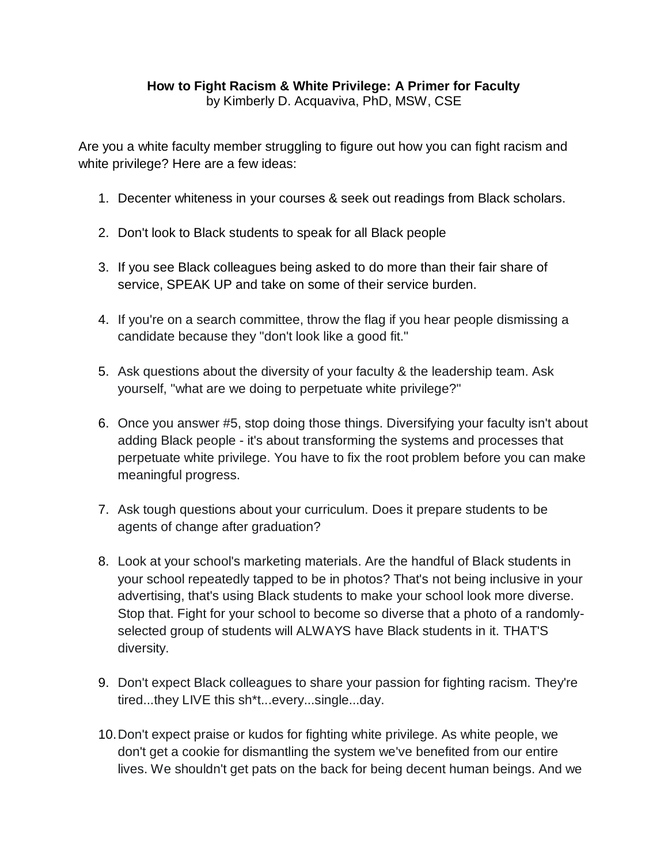## **How to Fight Racism & White Privilege: A Primer for Faculty** by Kimberly D. Acquaviva, PhD, MSW, CSE

Are you a white faculty member struggling to figure out how you can fight racism and white privilege? Here are a few ideas:

- 1. Decenter whiteness in your courses & seek out readings from Black scholars.
- 2. Don't look to Black students to speak for all Black people
- 3. If you see Black colleagues being asked to do more than their fair share of service, SPEAK UP and take on some of their service burden.
- 4. If you're on a search committee, throw the flag if you hear people dismissing a candidate because they "don't look like a good fit."
- 5. Ask questions about the diversity of your faculty & the leadership team. Ask yourself, "what are we doing to perpetuate white privilege?"
- 6. Once you answer #5, stop doing those things. Diversifying your faculty isn't about adding Black people - it's about transforming the systems and processes that perpetuate white privilege. You have to fix the root problem before you can make meaningful progress.
- 7. Ask tough questions about your curriculum. Does it prepare students to be agents of change after graduation?
- 8. Look at your school's marketing materials. Are the handful of Black students in your school repeatedly tapped to be in photos? That's not being inclusive in your advertising, that's using Black students to make your school look more diverse. Stop that. Fight for your school to become so diverse that a photo of a randomlyselected group of students will ALWAYS have Black students in it. THAT'S diversity.
- 9. Don't expect Black colleagues to share your passion for fighting racism. They're tired...they LIVE this sh\*t...every...single...day.
- 10.Don't expect praise or kudos for fighting white privilege. As white people, we don't get a cookie for dismantling the system we've benefited from our entire lives. We shouldn't get pats on the back for being decent human beings. And we